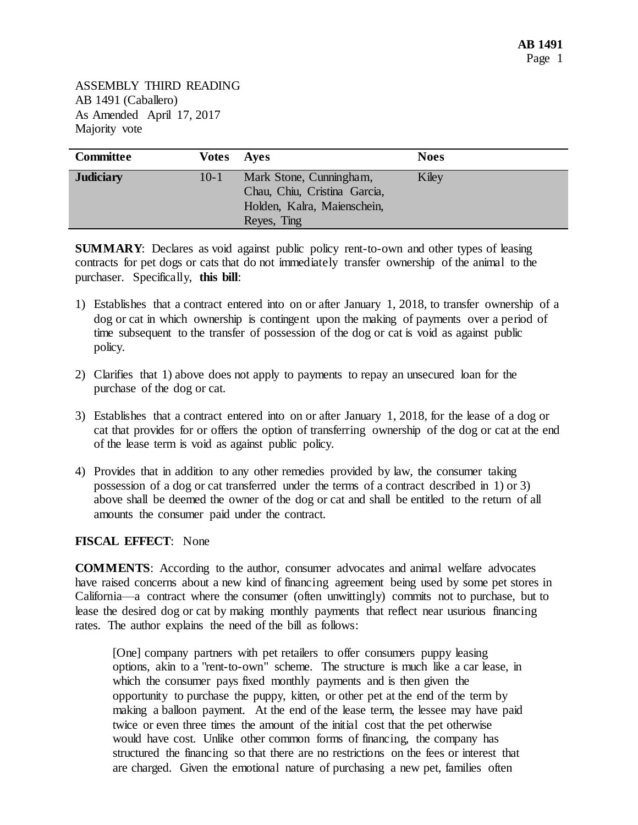| <b>Committee</b> | <b>Votes</b> Ayes |                                                                                                       | <b>Noes</b> |
|------------------|-------------------|-------------------------------------------------------------------------------------------------------|-------------|
| <b>Judiciary</b> | $10 - 1$          | Mark Stone, Cunningham,<br>Chau, Chiu, Cristina Garcia,<br>Holden, Kalra, Maienschein,<br>Reyes, Ting | Kiley       |

**SUMMARY:** Declares as void against public policy rent-to-own and other types of leasing contracts for pet dogs or cats that do not immediately transfer ownership of the animal to the purchaser. Specifically, **this bill**:

- 1) Establishes that a contract entered into on or after January 1, 2018, to transfer ownership of a dog or cat in which ownership is contingent upon the making of payments over a period of time subsequent to the transfer of possession of the dog or cat is void as against public policy.
- 2) Clarifies that 1) above does not apply to payments to repay an unsecured loan for the purchase of the dog or cat.
- 3) Establishes that a contract entered into on or after January 1, 2018, for the lease of a dog or cat that provides for or offers the option of transferring ownership of the dog or cat at the end of the lease term is void as against public policy.
- 4) Provides that in addition to any other remedies provided by law, the consumer taking possession of a dog or cat transferred under the terms of a contract described in 1) or 3) above shall be deemed the owner of the dog or cat and shall be entitled to the return of all amounts the consumer paid under the contract.

## **FISCAL EFFECT**: None

**COMMENTS**: According to the author, consumer advocates and animal welfare advocates have raised concerns about a new kind of financing agreement being used by some pet stores in California—a contract where the consumer (often unwittingly) commits not to purchase, but to lease the desired dog or cat by making monthly payments that reflect near usurious financing rates. The author explains the need of the bill as follows:

[One] company partners with pet retailers to offer consumers puppy leasing options, akin to a "rent-to-own" scheme. The structure is much like a car lease, in which the consumer pays fixed monthly payments and is then given the opportunity to purchase the puppy, kitten, or other pet at the end of the term by making a balloon payment. At the end of the lease term, the lessee may have paid twice or even three times the amount of the initial cost that the pet otherwise would have cost. Unlike other common forms of financing, the company has structured the financing so that there are no restrictions on the fees or interest that are charged. Given the emotional nature of purchasing a new pet, families often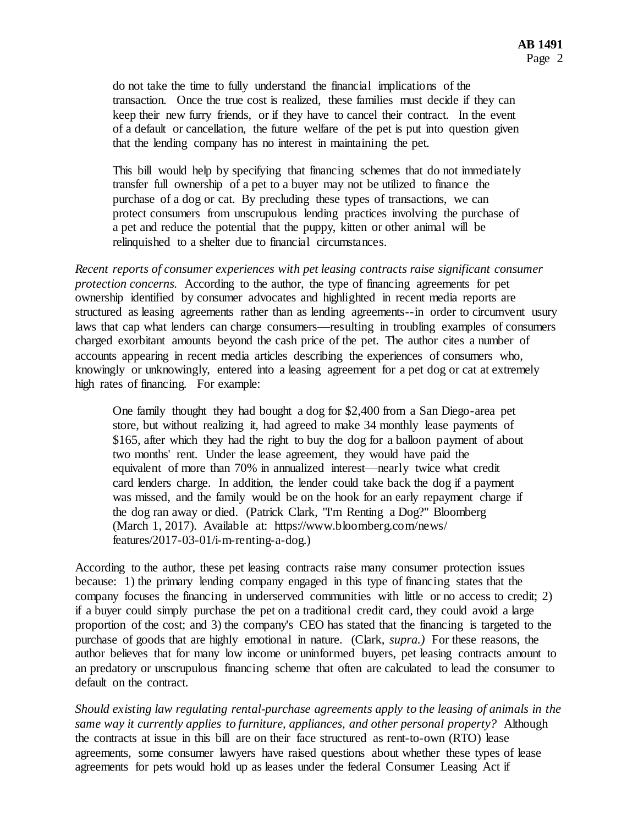do not take the time to fully understand the financial implications of the transaction. Once the true cost is realized, these families must decide if they can keep their new furry friends, or if they have to cancel their contract. In the event of a default or cancellation, the future welfare of the pet is put into question given that the lending company has no interest in maintaining the pet.

This bill would help by specifying that financing schemes that do not immediately transfer full ownership of a pet to a buyer may not be utilized to finance the purchase of a dog or cat. By precluding these types of transactions, we can protect consumers from unscrupulous lending practices involving the purchase of a pet and reduce the potential that the puppy, kitten or other animal will be relinquished to a shelter due to financial circumstances.

*Recent reports of consumer experiences with pet leasing contracts raise significant consumer protection concerns.* According to the author, the type of financing agreements for pet ownership identified by consumer advocates and highlighted in recent media reports are structured as leasing agreements rather than as lending agreements--in order to circumvent usury laws that cap what lenders can charge consumers—resulting in troubling examples of consumers charged exorbitant amounts beyond the cash price of the pet. The author cites a number of accounts appearing in recent media articles describing the experiences of consumers who, knowingly or unknowingly, entered into a leasing agreement for a pet dog or cat at extremely high rates of financing. For example:

One family thought they had bought a dog for \$2,400 from a San Diego-area pet store, but without realizing it, had agreed to make 34 monthly lease payments of \$165, after which they had the right to buy the dog for a balloon payment of about two months' rent. Under the lease agreement, they would have paid the equivalent of more than 70% in annualized interest—nearly twice what credit card lenders charge. In addition, the lender could take back the dog if a payment was missed, and the family would be on the hook for an early repayment charge if the dog ran away or died. (Patrick Clark, "I'm Renting a Dog?" Bloomberg (March 1, 2017). Available at: https://www.bloomberg.com/news/ features/2017-03-01/i-m-renting-a-dog.)

According to the author, these pet leasing contracts raise many consumer protection issues because: 1) the primary lending company engaged in this type of financing states that the company focuses the financing in underserved communities with little or no access to credit; 2) if a buyer could simply purchase the pet on a traditional credit card, they could avoid a large proportion of the cost; and 3) the company's CEO has stated that the financing is targeted to the purchase of goods that are highly emotional in nature. (Clark, *supra.)* For these reasons, the author believes that for many low income or uninformed buyers, pet leasing contracts amount to an predatory or unscrupulous financing scheme that often are calculated to lead the consumer to default on the contract.

*Should existing law regulating rental-purchase agreements apply to the leasing of animals in the same way it currently applies to furniture, appliances, and other personal property?* Although the contracts at issue in this bill are on their face structured as rent-to-own (RTO) lease agreements, some consumer lawyers have raised questions about whether these types of lease agreements for pets would hold up as leases under the federal Consumer Leasing Act if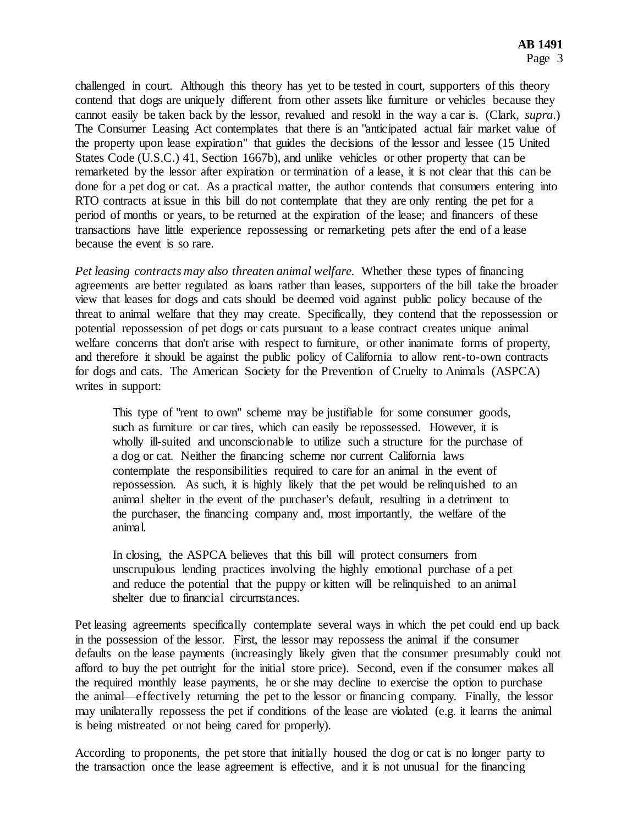challenged in court. Although this theory has yet to be tested in court, supporters of this theory contend that dogs are uniquely different from other assets like furniture or vehicles because they cannot easily be taken back by the lessor, revalued and resold in the way a car is. (Clark, *supra*.) The Consumer Leasing Act contemplates that there is an "anticipated actual fair market value of the property upon lease expiration" that guides the decisions of the lessor and lessee (15 United States Code (U.S.C.) 41, Section 1667b), and unlike vehicles or other property that can be remarketed by the lessor after expiration or termination of a lease, it is not clear that this can be done for a pet dog or cat. As a practical matter, the author contends that consumers entering into RTO contracts at issue in this bill do not contemplate that they are only renting the pet for a period of months or years, to be returned at the expiration of the lease; and financers of these transactions have little experience repossessing or remarketing pets after the end of a lease because the event is so rare.

*Pet leasing contracts may also threaten animal welfare.* Whether these types of financing agreements are better regulated as loans rather than leases, supporters of the bill take the broader view that leases for dogs and cats should be deemed void against public policy because of the threat to animal welfare that they may create. Specifically, they contend that the repossession or potential repossession of pet dogs or cats pursuant to a lease contract creates unique animal welfare concerns that don't arise with respect to furniture, or other inanimate forms of property, and therefore it should be against the public policy of California to allow rent-to-own contracts for dogs and cats. The American Society for the Prevention of Cruelty to Animals (ASPCA) writes in support:

This type of "rent to own" scheme may be justifiable for some consumer goods, such as furniture or car tires, which can easily be repossessed. However, it is wholly ill-suited and unconscionable to utilize such a structure for the purchase of a dog or cat. Neither the financing scheme nor current California laws contemplate the responsibilities required to care for an animal in the event of repossession. As such, it is highly likely that the pet would be relinquished to an animal shelter in the event of the purchaser's default, resulting in a detriment to the purchaser, the financing company and, most importantly, the welfare of the animal.

In closing, the ASPCA believes that this bill will protect consumers from unscrupulous lending practices involving the highly emotional purchase of a pet and reduce the potential that the puppy or kitten will be relinquished to an animal shelter due to financial circumstances.

Pet leasing agreements specifically contemplate several ways in which the pet could end up back in the possession of the lessor. First, the lessor may repossess the animal if the consumer defaults on the lease payments (increasingly likely given that the consumer presumably could not afford to buy the pet outright for the initial store price). Second, even if the consumer makes all the required monthly lease payments, he or she may decline to exercise the option to purchase the animal—effectively returning the pet to the lessor or financing company. Finally, the lessor may unilaterally repossess the pet if conditions of the lease are violated (e.g. it learns the animal is being mistreated or not being cared for properly).

According to proponents, the pet store that initially housed the dog or cat is no longer party to the transaction once the lease agreement is effective, and it is not unusual for the financing